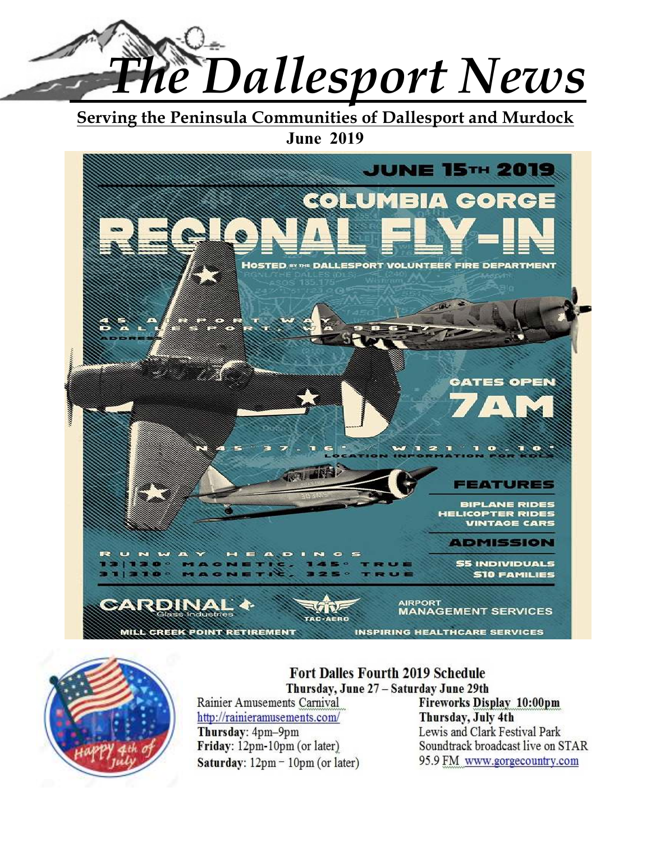

**Serving the Peninsula Communities of Dallesport and Murdock June 2019** 





# **Fort Dalles Fourth 2019 Schedule** Thursday, June 27 - Saturday June 29th

Rainier Amusements Carnival http://rainieramusements.com/ Thursday: 4pm-9pm Friday: 12pm-10pm (or later) Saturday:  $12 \text{pm} - 10 \text{pm}$  (or later) **Fireworks Display 10:00pm** Thursday, July 4th Lewis and Clark Festival Park Soundtrack broadcast live on STAR 95.9 FM www.gorgecountry.com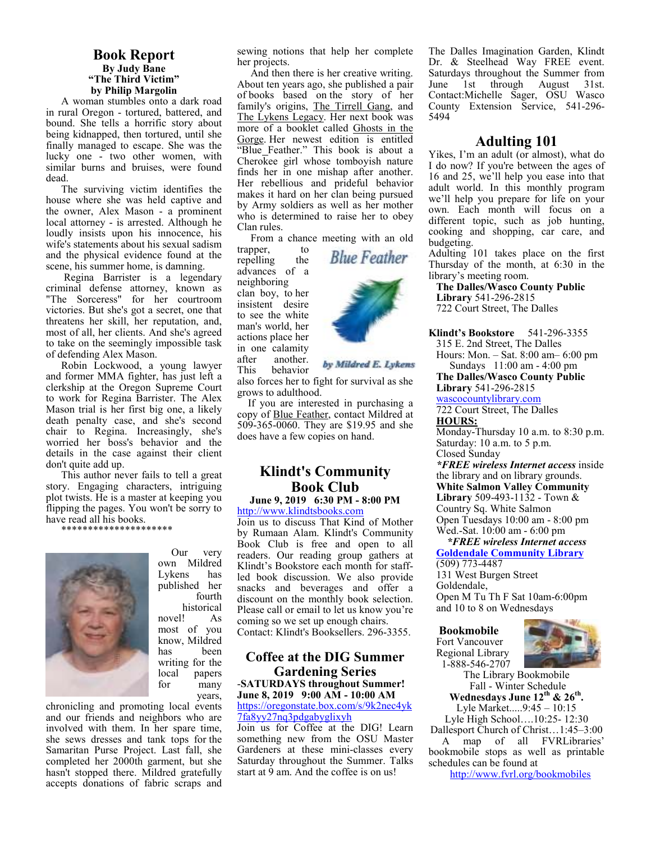#### **Book Report By Judy Bane "The Third Victim" by Philip Margolin**

A woman stumbles onto a dark road in rural Oregon - tortured, battered, and bound. She tells a horrific story about being kidnapped, then tortured, until she finally managed to escape. She was the lucky one - two other women, with similar burns and bruises, were found dead.

The surviving victim identifies the house where she was held captive and the owner, Alex Mason - a prominent local attorney - is arrested. Although he loudly insists upon his innocence, his wife's statements about his sexual sadism and the physical evidence found at the scene, his summer home, is damning.

 Regina Barrister is a legendary criminal defense attorney, known as "The Sorceress" for her courtroom victories. But she's got a secret, one that threatens her skill, her reputation, and, most of all, her clients. And she's agreed to take on the seemingly impossible task of defending Alex Mason.

Robin Lockwood, a young lawyer and former MMA fighter, has just left a clerkship at the Oregon Supreme Court to work for Regina Barrister. The Alex Mason trial is her first big one, a likely death penalty case, and she's second chair to Regina. Increasingly, she's worried her boss's behavior and the details in the case against their client don't quite add up.

This author never fails to tell a great story. Engaging characters, intriguing plot twists. He is a master at keeping you flipping the pages. You won't be sorry to have read all his books.

\*\*\*\*\*\*\*\*\*\*\*\*\*\*\*\*\*\*\*\*\*



own Mildred Lykens has published her fourth historical<br>! As novel! most of you know, Mildred has been writing for the<br>local papers papers for many

years,

Our very

chronicling and promoting local events and our friends and neighbors who are involved with them. In her spare time, she sews dresses and tank tops for the Samaritan Purse Project. Last fall, she completed her 2000th garment, but she hasn't stopped there. Mildred gratefully accepts donations of fabric scraps and sewing notions that help her complete her projects.

 And then there is her creative writing. About ten years ago, she published a pair of books based on the story of her family's origins, The Tirrell Gang, and The Lykens Legacy. Her next book was more of a booklet called Ghosts in the Gorge. Her newest edition is entitled "Blue Feather." This book is about a Cherokee girl whose tomboyish nature finds her in one mishap after another. Her rebellious and prideful behavior makes it hard on her clan being pursued by Army soldiers as well as her mother who is determined to raise her to obey Clan rules.

From a chance meeting with an old

trapper, to repelling the advances of a neighboring clan boy, to her insistent desire to see the white man's world, her actions place her in one calamity<br>after another another. This behavior



by Mildred E. Lykens

also forces her to fight for survival as she grows to adulthood.

 If you are interested in purchasing a copy of Blue Feather, contact Mildred at 509-365-0060. They are \$19.95 and she does have a few copies on hand.

# **Klindt's Community Book Club**

#### **June 9, 2019 6:30 PM - 8:00 PM**  http://www.klindtsbooks.com

Join us to discuss That Kind of Mother by Rumaan Alam. Klindt's Community Book Club is free and open to all readers. Our reading group gathers at Klindt's Bookstore each month for staffled book discussion. We also provide snacks and beverages and offer a discount on the monthly book selection. Please call or email to let us know you're coming so we set up enough chairs. Contact: Klindt's Booksellers. 296-3355.

#### **Coffee at the DIG Summer Gardening Series**  -**SATURDAYS throughout Summer! June 8, 2019 9:00 AM - 10:00 AM**  https://oregonstate.box.com/s/9k2nec4yk

7fa8yy27nq3pdgabyglixyh

Join us for Coffee at the DIG! Learn something new from the OSU Master Gardeners at these mini-classes every Saturday throughout the Summer. Talks start at 9 am. And the coffee is on us!

The Dalles Imagination Garden, Klindt Dr. & Steelhead Way FREE event. Saturdays throughout the Summer from June 1st through August 31st. Contact:Michelle Sager, OSU Wasco County Extension Service, 541-296- 5494

#### **Adulting 101**

Yikes, I'm an adult (or almost), what do I do now? If you're between the ages of 16 and 25, we'll help you ease into that adult world. In this monthly program we'll help you prepare for life on your own. Each month will focus on a different topic, such as job hunting, cooking and shopping, car care, and budgeting.

Adulting 101 takes place on the first Thursday of the month, at 6:30 in the library's meeting room.

**The Dalles/Wasco County Public Library** 541-296-2815 722 Court Street, The Dalles

**Klindt's Bookstore** 541-296-3355

315 E. 2nd Street, The Dalles Hours: Mon. – Sat. 8:00 am– 6:00 pm Sundays 11:00 am - 4:00 pm

**The Dalles/Wasco County Public Library** 541-296-2815

wascocountylibrary.com 722 Court Street, The Dalles

**HOURS:** 

Monday-Thursday 10 a.m. to 8:30 p.m. Saturday: 10 a.m. to 5 p.m. Closed Sunday

*\*FREE wireless Internet access* inside the library and on library grounds. **White Salmon Valley Community Library** 509-493-1132 - Town & Country Sq. White Salmon Open Tuesdays 10:00 am - 8:00 pm Wed.-Sat. 10:00 am - 6:00 pm

 *\*FREE wireless Internet access*  **Goldendale Community Library**  (509) 773-4487 131 West Burgen Street Goldendale,

Open M Tu Th F Sat 10am-6:00pm and 10 to 8 on Wednesdays

**Bookmobile**  Fort Vancouver Regional Library 1-888-546-2707



The Library Bookmobile Fall - Winter Schedule **Wednesdays June 12th & 26th .**  Lyle Market.....9:45 – 10:15

Lyle High School….10:25- 12:30 Dallesport Church of Christ…1:45–3:00

 A map of all FVRLibraries' bookmobile stops as well as printable schedules can be found at

http://www.fvrl.org/bookmobiles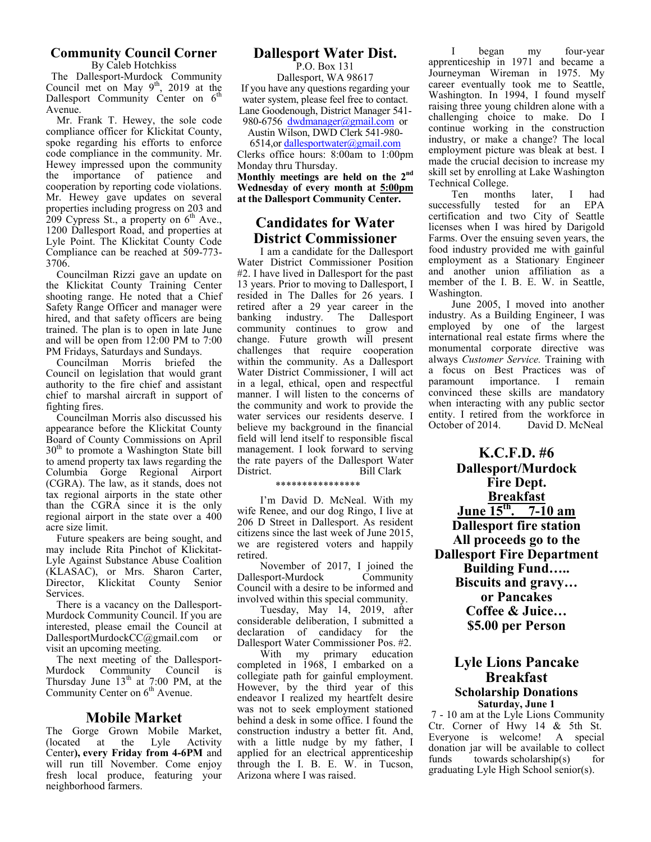# **Community Council Corner**

By Caleb Hotchkiss The Dallesport-Murdock Community Council met on May  $9<sup>th</sup>$ , 2019 at the Dallesport Community Center on  $6<sup>th</sup>$ Avenue.

 Mr. Frank T. Hewey, the sole code compliance officer for Klickitat County, spoke regarding his efforts to enforce code compliance in the community. Mr. Hewey impressed upon the community the importance of patience and cooperation by reporting code violations. Mr. Hewey gave updates on several properties including progress on 203 and  $209$  Cypress St., a property on  $6<sup>th</sup>$  Ave., 1200 Dallesport Road, and properties at Lyle Point. The Klickitat County Code Compliance can be reached at 509-773- 3706.

 Councilman Rizzi gave an update on the Klickitat County Training Center shooting range. He noted that a Chief Safety Range Officer and manager were hired, and that safety officers are being trained. The plan is to open in late June and will be open from 12:00 PM to 7:00 PM Fridays, Saturdays and Sundays.

 Councilman Morris briefed the Council on legislation that would grant authority to the fire chief and assistant chief to marshal aircraft in support of fighting fires.

 Councilman Morris also discussed his appearance before the Klickitat County Board of County Commissions on April 30<sup>th</sup> to promote a Washington State bill to amend property tax laws regarding the Columbia Gorge Regional Airport (CGRA). The law, as it stands, does not tax regional airports in the state other than the CGRA since it is the only regional airport in the state over a 400 acre size limit.

 Future speakers are being sought, and may include Rita Pinchot of Klickitat-Lyle Against Substance Abuse Coalition (KLASAC), or Mrs. Sharon Carter, Director, Klickitat County Senior Services.

 There is a vacancy on the Dallesport-Murdock Community Council. If you are interested, please email the Council at DallesportMurdockCC@gmail.com or visit an upcoming meeting.

 The next meeting of the Dallesport-Murdock Community Council is Thursday June  $13<sup>th</sup>$  at 7:00 PM, at the Community Center on 6<sup>th</sup> Avenue.

### **Mobile Market**

The Gorge Grown Mobile Market,<br>(located at the Lyle Activity at the Center**), every Friday from 4-6PM** and will run till November. Come enjoy fresh local produce, featuring your neighborhood farmers.

# **Dallesport Water Dist.**

P.O. Box 131 Dallesport, WA 98617 If you have any questions regarding your water system, please feel free to contact. Lane Goodenough, District Manager 541- 980-6756 dwdmanager@gmail.com or

Austin Wilson, DWD Clerk 541-980-

6514,or dallesportwater@gmail.com Clerks office hours: 8:00am to 1:00pm Monday thru Thursday. **Monthly meetings are held on the 2nd Wednesday of every month at 5:00pm at the Dallesport Community Center.** 

# **Candidates for Water District Commissioner**

I am a candidate for the Dallesport Water District Commissioner Position #2. I have lived in Dallesport for the past 13 years. Prior to moving to Dallesport, I resided in The Dalles for 26 years. I retired after a 29 year career in the banking industry. The Dallesport community continues to grow and change. Future growth will present challenges that require cooperation within the community. As a Dallesport Water District Commissioner, I will act in a legal, ethical, open and respectful manner. I will listen to the concerns of the community and work to provide the water services our residents deserve. I believe my background in the financial field will lend itself to responsible fiscal management. I look forward to serving the rate payers of the Dallesport Water District. Bill Clark

\*\*\*\*\*\*\*\*\*\*\*\*\*\*\*\*

I'm David D. McNeal. With my wife Renee, and our dog Ringo, I live at 206 D Street in Dallesport. As resident citizens since the last week of June 2015, we are registered voters and happily retired.

November of 2017, I joined the sport-Murdock Community Dallesport-Murdock Council with a desire to be informed and involved within this special community.

Tuesday, May 14, 2019, after considerable deliberation, I submitted a declaration of candidacy for the Dallesport Water Commissioner Pos. #2.

With my primary education completed in 1968, I embarked on a collegiate path for gainful employment. However, by the third year of this endeavor I realized my heartfelt desire was not to seek employment stationed behind a desk in some office. I found the construction industry a better fit. And, with a little nudge by my father, I applied for an electrical apprenticeship through the I. B. E. W. in Tucson, Arizona where I was raised.

I began my four-year apprenticeship in 1971 and became a Journeyman Wireman in 1975. My career eventually took me to Seattle, Washington. In 1994, I found myself raising three young children alone with a challenging choice to make. Do I continue working in the construction industry, or make a change? The local employment picture was bleak at best. I made the crucial decision to increase my skill set by enrolling at Lake Washington

Technical College.<br>Ten months later, I had successfully tested for an EPA certification and two City of Seattle licenses when I was hired by Darigold Farms. Over the ensuing seven years, the food industry provided me with gainful employment as a Stationary Engineer and another union affiliation as a member of the I. B. E. W. in Seattle, Washington.

June 2005, I moved into another industry. As a Building Engineer, I was employed by one of the largest international real estate firms where the monumental corporate directive was always *Customer Service.* Training with a focus on Best Practices was of paramount importance. I remain convinced these skills are mandatory when interacting with any public sector entity. I retired from the workforce in<br>October of 2014. David D. McNeal David D. McNeal

**K.C.F.D. #6 Dallesport/Murdock Fire Dept. Breakfast June 15th. 7-10 am Dallesport fire station All proceeds go to the Dallesport Fire Department Building Fund….. Biscuits and gravy… or Pancakes Coffee & Juice… \$5.00 per Person** 

#### **Lyle Lions Pancake Breakfast Scholarship Donations Saturday, June 1**

 7 - 10 am at the Lyle Lions Community Ctr. Corner of Hwy 14 & 5th St. Everyone is welcome! A special donation jar will be available to collect<br>funds towards scholarship(s) for towards scholarship $(s)$ graduating Lyle High School senior(s).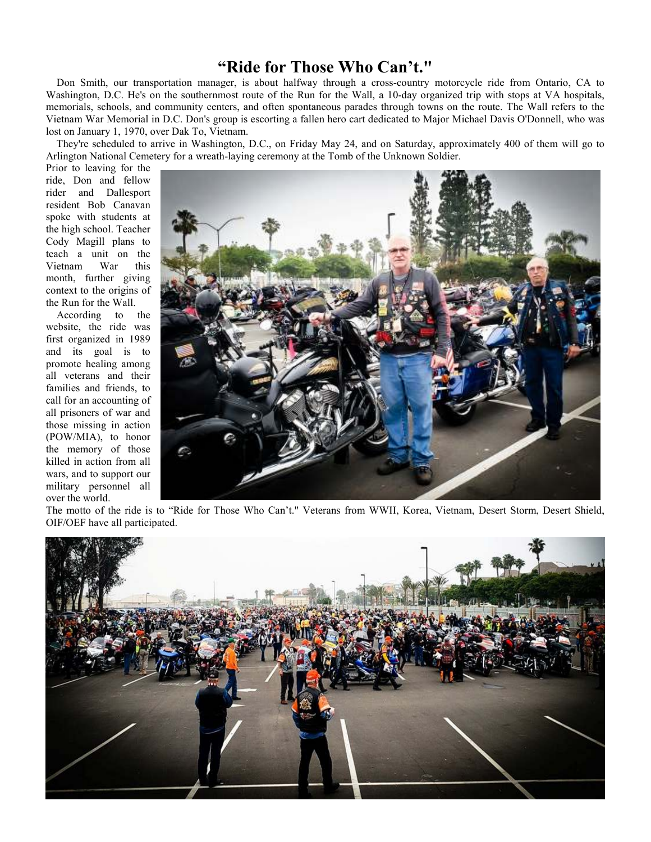# **"Ride for Those Who Can't."**

 Don Smith, our transportation manager, is about halfway through a cross-country motorcycle ride from Ontario, CA to Washington, D.C. He's on the southernmost route of the Run for the Wall, a 10-day organized trip with stops at VA hospitals, memorials, schools, and community centers, and often spontaneous parades through towns on the route. The Wall refers to the Vietnam War Memorial in D.C. Don's group is escorting a fallen hero cart dedicated to Major Michael Davis O'Donnell, who was lost on January 1, 1970, over Dak To, Vietnam.

 They're scheduled to arrive in Washington, D.C., on Friday May 24, and on Saturday, approximately 400 of them will go to Arlington National Cemetery for a wreath-laying ceremony at the Tomb of the Unknown Soldier.

Prior to leaving for the ride, Don and fellow rider and Dallesport resident Bob Canavan spoke with students at the high school. Teacher Cody Magill plans to teach a unit on the Vietnam War this month, further giving context to the origins of the Run for the Wall.

 According to the website, the ride was first organized in 1989 and its goal is to promote healing among all veterans and their families and friends, to call for an accounting of all prisoners of war and those missing in action (POW/MIA), to honor the memory of those killed in action from all wars, and to support our military personnel all over the world.



The motto of the ride is to "Ride for Those Who Can't." Veterans from WWII, Korea, Vietnam, Desert Storm, Desert Shield, OIF/OEF have all participated.

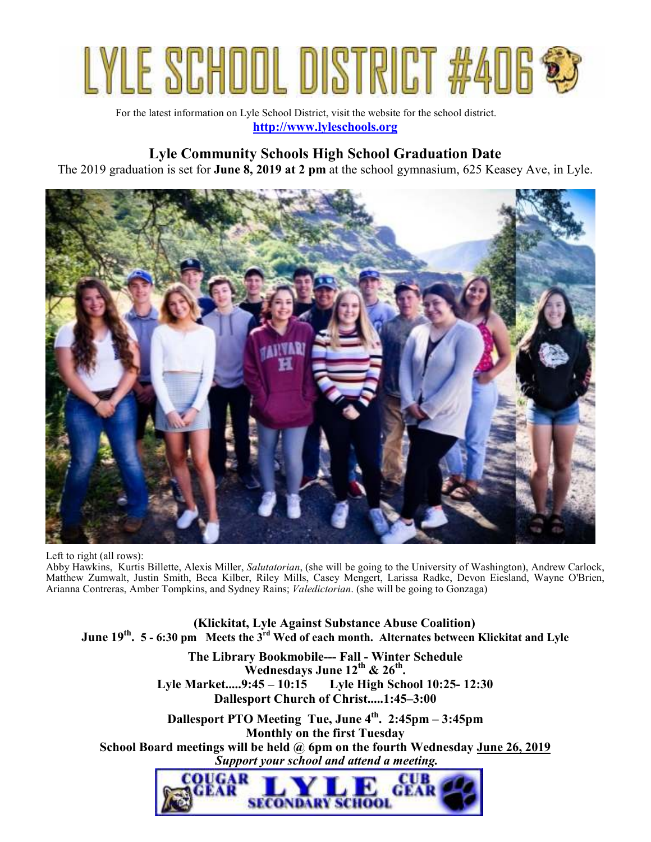

For the latest information on Lyle School District, visit the website for the school district. **http://www.lyleschools.org**

# **Lyle Community Schools High School Graduation Date**

The 2019 graduation is set for **June 8, 2019 at 2 pm** at the school gymnasium, 625 Keasey Ave, in Lyle.



Left to right (all rows): Abby Hawkins, Kurtis Billette, Alexis Miller, *Salutatorian*, (she will be going to the University of Washington), Andrew Carlock, Matthew Zumwalt, Justin Smith, Beca Kilber, Riley Mills, Casey Mengert, Larissa Radke, Devon Eiesland, Wayne O'Brien, Arianna Contreras, Amber Tompkins, and Sydney Rains; *Valedictorian*. (she will be going to Gonzaga)

 **(Klickitat, Lyle Against Substance Abuse Coalition) June 19th . 5 - 6:30 pm Meets the 3rd Wed of each month. Alternates between Klickitat and Lyle**

> **The Library Bookmobile--- Fall - Winter Schedule Wednesdays June 12th & 26th . Lyle Market.....9:45 – 10:15 Lyle High School 10:25- 12:30 Dallesport Church of Christ.....1:45–3:00**

**Dallesport PTO Meeting Tue, June 4th. 2:45pm – 3:45pm Monthly on the first Tuesday School Board meetings will be held @ 6pm on the fourth Wednesday June 26, 2019**  *Support your school and attend a meeting.* 

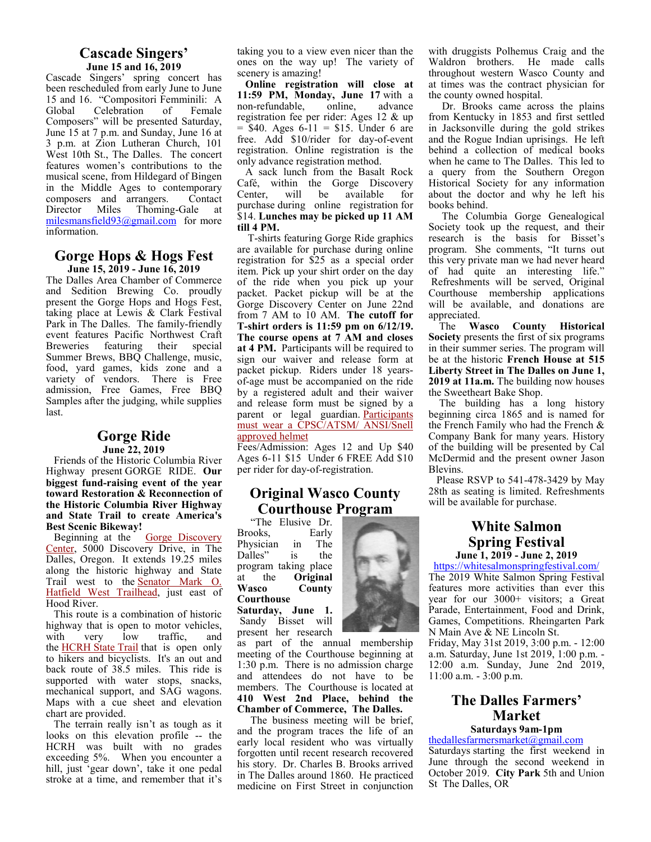#### **Cascade Singers' June 15 and 16, 2019**

Cascade Singers' spring concert has been rescheduled from early June to June 15 and 16. "Compositori Femminili: A<br>Global Celebration of Female Celebration of Composers" will be presented Saturday, June 15 at 7 p.m. and Sunday, June 16 at 3 p.m. at Zion Lutheran Church, 101 West 10th St., The Dalles. The concert features women's contributions to the musical scene, from Hildegard of Bingen in the Middle Ages to contemporary composers and arrangers. Contact Director Miles Thoming-Gale at milesmansfield93@gmail.com for more information.

#### **Gorge Hops & Hogs Fest June 15, 2019 - June 16, 2019**

The Dalles Area Chamber of Commerce and Sedition Brewing Co. proudly present the Gorge Hops and Hogs Fest, taking place at Lewis & Clark Festival Park in The Dalles. The family-friendly event features Pacific Northwest Craft Breweries featuring their special Summer Brews, BBQ Challenge, music, food, yard games, kids zone and a variety of vendors. There is Free admission, Free Games, Free BBQ Samples after the judging, while supplies last.

#### **Gorge Ride June 22, 2019**

 Friends of the Historic Columbia River Highway present GORGE RIDE. **Our biggest fund-raising event of the year toward Restoration & Reconnection of the Historic Columbia River Highway and State Trail to create America's Best Scenic Bikeway!** 

Beginning at the Gorge Discovery Center, 5000 Discovery Drive, in The Dalles, Oregon. It extends 19.25 miles along the historic highway and State Trail west to the **Senator Mark O.** Hatfield West Trailhead, just east of Hood River.

 This route is a combination of historic highway that is open to motor vehicles, with very low traffic, and the HCRH State Trail that is open only to hikers and bicyclists. It's an out and back route of 38.5 miles. This ride is supported with water stops, snacks, mechanical support, and SAG wagons. Maps with a cue sheet and elevation chart are provided.

 The terrain really isn't as tough as it looks on this elevation profile -- the HCRH was built with no grades exceeding 5%. When you encounter a hill, just 'gear down', take it one pedal stroke at a time, and remember that it's taking you to a view even nicer than the ones on the way up! The variety of scenery is amazing!

 **Online registration will close at 11:59 PM, Monday, June 17** with a non-refundable, online, advance registration fee per rider: Ages 12 & up  $=$  \$40. Ages 6-11 = \$15. Under 6 are free. Add \$10/rider for day-of-event registration. Online registration is the only advance registration method.

 A sack lunch from the Basalt Rock Café, within the Gorge Discovery<br>Center, will be available for available for purchase during online registration for \$14. **Lunches may be picked up 11 AM till 4 PM.** 

 T-shirts featuring Gorge Ride graphics are available for purchase during online registration for \$25 as a special order item. Pick up your shirt order on the day of the ride when you pick up your packet. Packet pickup will be at the Gorge Discovery Center on June 22nd from 7 AM to 10 AM. **The cutoff for T-shirt orders is 11:59 pm on 6/12/19. The course opens at 7 AM and closes at 4 PM.** Participants will be required to sign our waiver and release form at packet pickup. Riders under 18 yearsof-age must be accompanied on the ride by a registered adult and their waiver and release form must be signed by a parent or legal guardian. Participants must wear a CPSC/ATSM/ ANSI/Snell approved helmet

Fees/Admission: Ages 12 and Up \$40 Ages 6-11 \$15 Under 6 FREE Add \$10 per rider for day-of-registration.

# **Original Wasco County Courthouse Program**

"The Elusive Dr.<br>boks, Early Brooks, Physician in The Dalles" is the program taking place<br>at the **Original Original Wasco County Courthouse** 

**Saturday, June 1.** Sandy Bisset will present her research

as part of the annual membership meeting of the Courthouse beginning at 1:30 p.m. There is no admission charge and attendees do not have to be members. The Courthouse is located at **410 West 2nd Place, behind the Chamber of Commerce, The Dalles.** 

 The business meeting will be brief, and the program traces the life of an early local resident who was virtually forgotten until recent research recovered his story. Dr. Charles B. Brooks arrived in The Dalles around 1860. He practiced medicine on First Street in conjunction



 Dr. Brooks came across the plains from Kentucky in 1853 and first settled in Jacksonville during the gold strikes and the Rogue Indian uprisings. He left behind a collection of medical books when he came to The Dalles. This led to a query from the Southern Oregon Historical Society for any information about the doctor and why he left his books behind.

 The Columbia Gorge Genealogical Society took up the request, and their research is the basis for Bisset's program. She comments, "It turns out this very private man we had never heard of had quite an interesting life." Refreshments will be served, Original Courthouse membership applications will be available, and donations are appreciated.

 The **Wasco County Historical Society** presents the first of six programs in their summer series. The program will be at the historic **French House at 515 Liberty Street in The Dalles on June 1, 2019 at 11a.m.** The building now houses the Sweetheart Bake Shop.

 The building has a long history beginning circa 1865 and is named for the French Family who had the French & Company Bank for many years. History of the building will be presented by Cal McDermid and the present owner Jason Blevins.

 Please RSVP to 541-478-3429 by May 28th as seating is limited. Refreshments will be available for purchase.

# **White Salmon Spring Festival June 1, 2019 - June 2, 2019**

https://whitesalmonspringfestival.com/

The 2019 White Salmon Spring Festival features more activities than ever this year for our 3000+ visitors; a Great Parade, Entertainment, Food and Drink, Games, Competitions. Rheingarten Park N Main Ave & NE Lincoln St. Friday, May 31st 2019, 3:00 p.m. - 12:00 a.m. Saturday, June 1st 2019, 1:00 p.m. -

# **The Dalles Farmers' Market Saturdays 9am-1pm**

12:00 a.m. Sunday, June 2nd 2019,

11:00 a.m. - 3:00 p.m.

#### thedallesfarmersmarket@gmail.com

Saturdays starting the first weekend in June through the second weekend in October 2019. **City Park** 5th and Union St The Dalles, OR

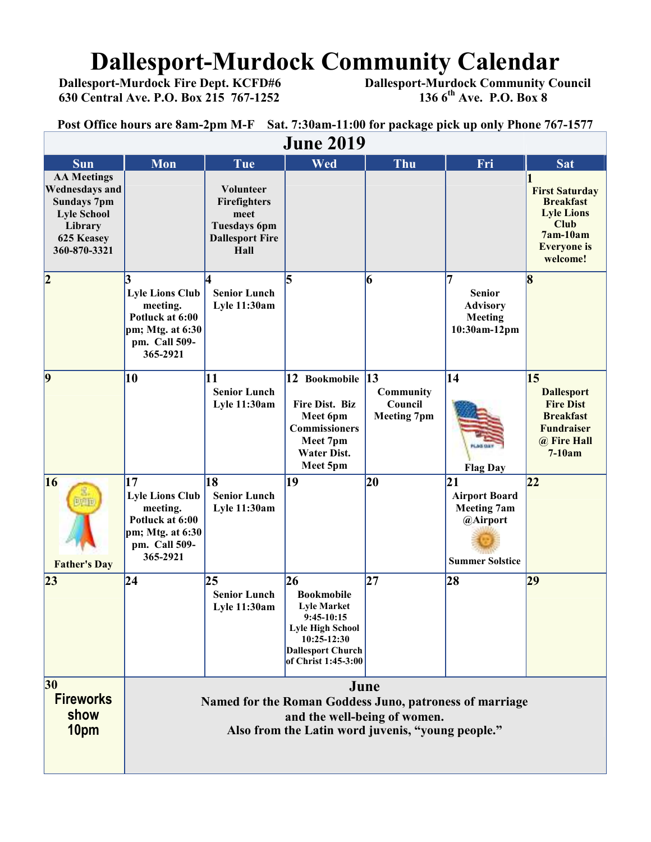# **Dallesport-Murdock Community Calendar**<br>Dallesport-Murdock Fire Dept. KCFD#6 Dallesport-Murdock Community Co

 **630 Central Ave. P.O. Box 215 767-1252 136 6th Ave. P.O. Box 8** 

 **Dallesport-Murdock Community Council 136 6<sup>th</sup> Ave. P.O. Box 8** 

**Post Office hours are 8am-2pm M-F Sat. 7:30am-11:00 for package pick up only Phone 767-1577**

| <b>June 2019</b>                                                                                                                 |                                                                                                                                                      |                                                                                            |                                                                                                                                                            |                                                          |                                                                                        |                                                                                                                              |  |  |  |
|----------------------------------------------------------------------------------------------------------------------------------|------------------------------------------------------------------------------------------------------------------------------------------------------|--------------------------------------------------------------------------------------------|------------------------------------------------------------------------------------------------------------------------------------------------------------|----------------------------------------------------------|----------------------------------------------------------------------------------------|------------------------------------------------------------------------------------------------------------------------------|--|--|--|
| <b>Sun</b>                                                                                                                       | Mon                                                                                                                                                  | Tue                                                                                        | Wed                                                                                                                                                        | Thu                                                      | Fri                                                                                    | Sat                                                                                                                          |  |  |  |
| <b>AA Meetings</b><br><b>Wednesdays and</b><br><b>Sundays 7pm</b><br><b>Lyle School</b><br>Library<br>625 Keasey<br>360-870-3321 |                                                                                                                                                      | Volunteer<br>Firefighters<br>meet<br><b>Tuesdays 6pm</b><br><b>Dallesport Fire</b><br>Hall |                                                                                                                                                            |                                                          |                                                                                        | <b>First Saturday</b><br><b>Breakfast</b><br><b>Lyle Lions</b><br><b>Club</b><br>7am-10am<br><b>Everyone</b> is<br>welcome!  |  |  |  |
| 2                                                                                                                                | <b>Lyle Lions Club</b><br>meeting.<br>Potluck at 6:00<br>pm; Mtg. at 6:30<br>pm. Call 509-<br>365-2921                                               | <b>Senior Lunch</b><br><b>Lyle 11:30am</b>                                                 | 5                                                                                                                                                          | 6                                                        | 7<br><b>Senior</b><br><b>Advisory</b><br>Meeting<br>10:30am-12pm                       | 8                                                                                                                            |  |  |  |
| $\vert 9$                                                                                                                        | 10                                                                                                                                                   | 11<br><b>Senior Lunch</b><br><b>Lyle 11:30am</b>                                           | 12 Bookmobile<br>Fire Dist. Biz<br>Meet 6pm<br><b>Commissioners</b><br>Meet 7pm<br><b>Water Dist.</b><br>Meet 5pm                                          | $\vert$ 13<br>Community<br>Council<br><b>Meeting 7pm</b> | $\overline{14}$<br><b>FLAG DAY</b><br><b>Flag Day</b>                                  | $\overline{15}$<br><b>Dallesport</b><br><b>Fire Dist</b><br><b>Breakfast</b><br><b>Fundraiser</b><br>@ Fire Hall<br>$7-10am$ |  |  |  |
| 16<br>阿阳市<br><b>Father's Day</b>                                                                                                 | 17<br><b>Lyle Lions Club</b><br>meeting.<br>Potluck at 6:00<br>pm; Mtg. at 6:30<br>pm. Call 509-<br>365-2921                                         | 18<br><b>Senior Lunch</b><br><b>Lyle 11:30am</b>                                           | 19                                                                                                                                                         | 20                                                       | 21<br><b>Airport Board</b><br><b>Meeting 7am</b><br>@Airport<br><b>Summer Solstice</b> | 22                                                                                                                           |  |  |  |
| 23                                                                                                                               | 24                                                                                                                                                   | 25<br><b>Senior Lunch</b><br>Lyle 11:30am                                                  | 26<br><b>Bookmobile</b><br><b>Lyle Market</b><br>$9:45-10:15$<br><b>Lyle High School</b><br>10:25-12:30<br><b>Dallesport Church</b><br>of Christ 1:45-3:00 | 27                                                       | 28                                                                                     | 29                                                                                                                           |  |  |  |
| 30<br><b>Fireworks</b><br>show<br>10pm                                                                                           | June<br>Named for the Roman Goddess Juno, patroness of marriage<br>and the well-being of women.<br>Also from the Latin word juvenis, "young people." |                                                                                            |                                                                                                                                                            |                                                          |                                                                                        |                                                                                                                              |  |  |  |